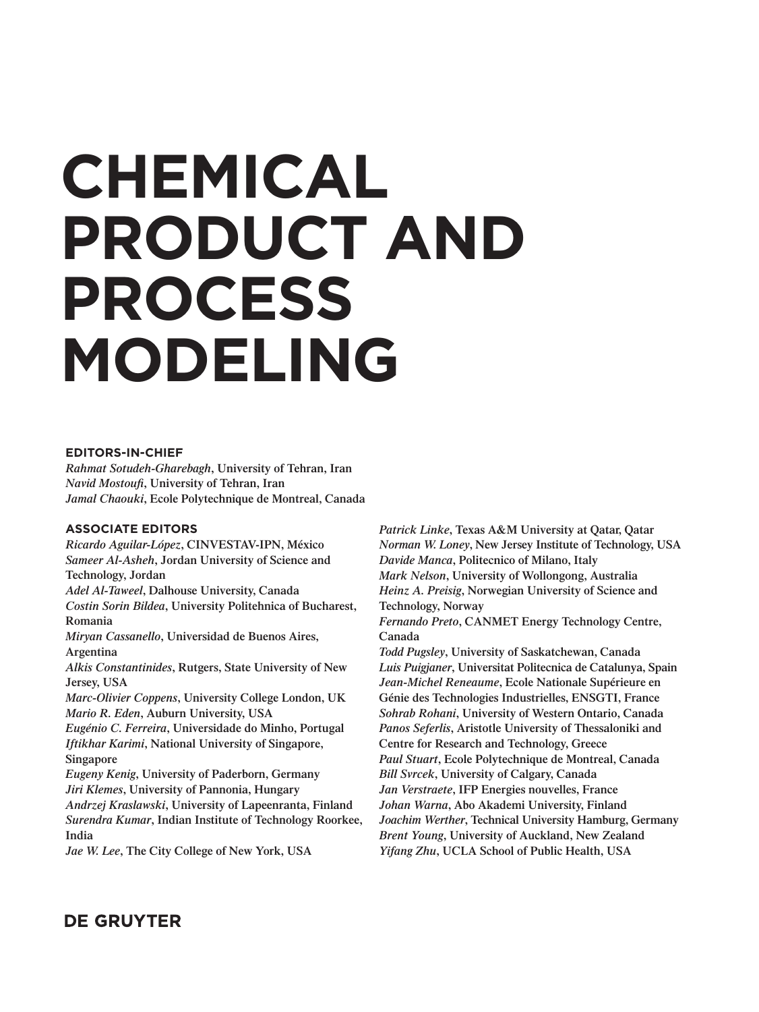# **CHEMICAL PRODUCT AND** PRUDUCI<br>DDAAF66 PROCESS **CHEMICAL PRODUCT AND PROCESS MODELING**

#### **EDITORS-IN-CHIEF**

*Rahmat Sotudeh-Gharebagh***, University of Tehran, Iran** *Navid Mostoufi***, University of Tehran, Iran**  *Jamal Chaouki***, Ecole Polytechnique de Montreal, Canada**

#### **ASSOCIATE EDITORS**

*Ricardo Aguilar-López***, CINVESTAV-IPN, México**  *Sameer Al-Asheh***, Jordan University of Science and Technology, Jordan** *Adel Al-Taweel***, Dalhouse University, Canada**  *Costin Sorin Bildea***, University Politehnica of Bucharest, Romania** *Miryan Cassanello***, Universidad de Buenos Aires, Argentina** *Alkis Constantinides***, Rutgers, State University of New**  *Marc-Olivier Coppens***, University College London, UK** *Surendra Kumar***, Indian Institute of Technology Roorkee,** 

**Jersey, USA** 

*Mario R. Eden***, Auburn University, USA** 

*Eugénio C. Ferreira***, Universidade do Minho, Portugal**  *Iftikhar Karimi***, National University of Singapore, Singapore**

*Eugeny Kenig***, University of Paderborn, Germany**  *Jiri Klemes***, University of Pannonia, Hungary**  *Andrzej Kraslawski***, University of Lapeenranta, Finland India** 

*Jae W. Lee***, The City College of New York, USA** 

*Patrick Linke***, Texas A&M University at Qatar, Qatar**  *Norman W. Loney***, New Jersey Institute of Technology, USA**  *Davide Manca***, Politecnico of Milano, Italy**  *Mark Nelson***, University of Wollongong, Australia**  *Heinz A. Preisig***, Norwegian University of Science and Technology, Norway** 

*Fernando Preto***, CANMET Energy Technology Centre, Canada** 

*Todd Pugsley***, University of Saskatchewan, Canada**  *Luis Puigjaner***, Universitat Politecnica de Catalunya, Spain**  *Jean-Michel Reneaume***, Ecole Nationale Supérieure en Génie des Technologies Industrielles, ENSGTI, France** *Sohrab Rohani***, University of Western Ontario, Canada**  *Panos Seferlis***, Aristotle University of Thessaloniki and Centre for Research and Technology, Greece**  *Paul Stuart***, Ecole Polytechnique de Montreal, Canada**  *Bill Svrcek***, University of Calgary, Canada**  *Jan Verstraete***, IFP Energies nouvelles, France** *Johan Warna***, Abo Akademi University, Finland**  *Joachim Werther***, Technical University Hamburg, Germany**  *Brent Young***, University of Auckland, New Zealand**  *Yifang Zhu***, UCLA School of Public Health, USA** 

## **DE GRUYTER**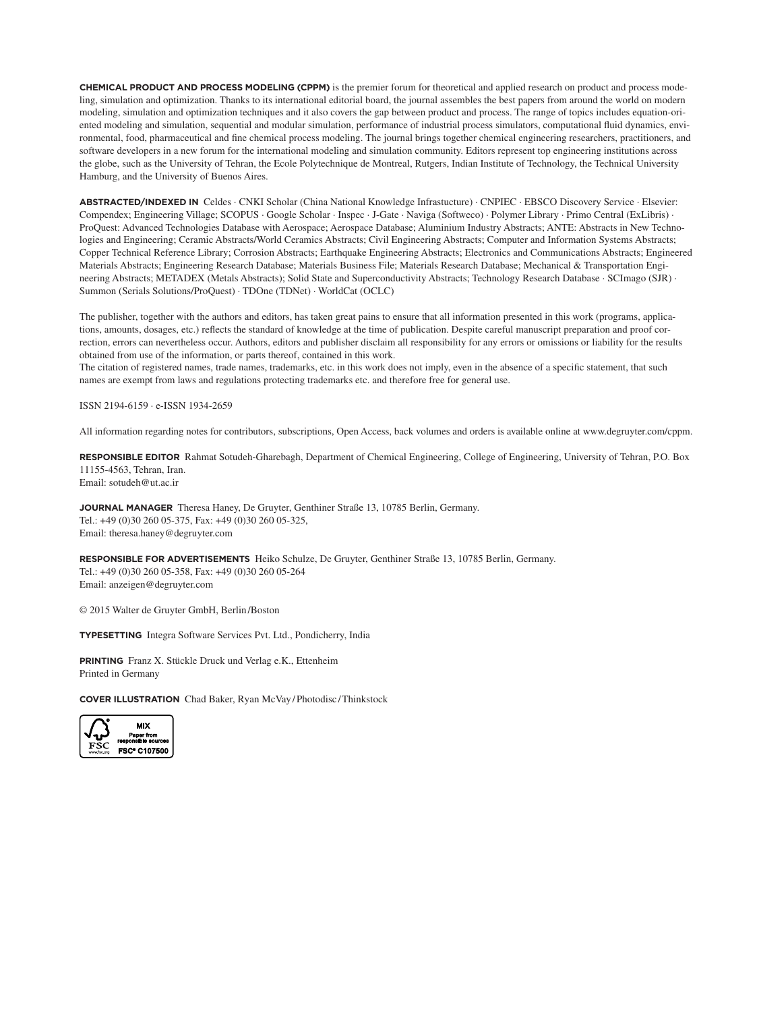**CHEMICAL PRODUCT AND PROCESS MODELING (CPPM)** is the premier forum for theoretical and applied research on product and process modeling, simulation and optimization. Thanks to its international editorial board, the journal assembles the best papers from around the world on modern modeling, simulation and optimization techniques and it also covers the gap between product and process. The range of topics includes equation-oriented modeling and simulation, sequential and modular simulation, performance of industrial process simulators, computational fluid dynamics, environmental, food, pharmaceutical and fine chemical process modeling. The journal brings together chemical engineering researchers, practitioners, and software developers in a new forum for the international modeling and simulation community. Editors represent top engineering institutions across the globe, such as the University of Tehran, the Ecole Polytechnique de Montreal, Rutgers, Indian Institute of Technology, the Technical University Hamburg, and the University of Buenos Aires.

**ABSTRACTED/INDEXED IN** Celdes · CNKI Scholar (China National Knowledge Infrastucture) · CNPIEC · EBSCO Discovery Service · Elsevier: Compendex; Engineering Village; SCOPUS · Google Scholar · Inspec · J-Gate · Naviga (Softweco) · Polymer Library · Primo Central (ExLibris) · ProQuest: Advanced Technologies Database with Aerospace; Aerospace Database; Aluminium Industry Abstracts; ANTE: Abstracts in New Technologies and Engineering; Ceramic Abstracts/World Ceramics Abstracts; Civil Engineering Abstracts; Computer and Information Systems Abstracts; Copper Technical Reference Library; Corrosion Abstracts; Earthquake Engineering Abstracts; Electronics and Communications Abstracts; Engineered Materials Abstracts; Engineering Research Database; Materials Business File; Materials Research Database; Mechanical & Transportation Engineering Abstracts; METADEX (Metals Abstracts); Solid State and Superconductivity Abstracts; Technology Research Database · SCImago (SJR) · Summon (Serials Solutions/ProQuest) · TDOne (TDNet) · WorldCat (OCLC)

The publisher, together with the authors and editors, has taken great pains to ensure that all information presented in this work (programs, applications, amounts, dosages, etc.) reflects the standard of knowledge at the time of publication. Despite careful manuscript preparation and proof correction, errors can nevertheless occur. Authors, editors and publisher disclaim all responsibility for any errors or omissions or liability for the results obtained from use of the information, or parts thereof, contained in this work.

The citation of registered names, trade names, trademarks, etc. in this work does not imply, even in the absence of a specifi c statement, that such names are exempt from laws and regulations protecting trademarks etc. and therefore free for general use.

ISSN 2194-6159 · e-ISSN 1934-2659

All information regarding notes for contributors, subscriptions, Open Access, back volumes and orders is available online at www.degruyter.com/cppm.

**RESPONSIBLE EDITOR** Rahmat Sotudeh-Gharebagh, Department of Chemical Engineering, College of Engineering, University of Tehran, P.O. Box 11155-4563, Tehran, Iran. Email: sotudeh@ut.ac.ir

**JOURNAL MANAGER** Theresa Haney, De Gruyter, Genthiner Straße 13, 10785 Berlin, Germany. Tel.: +49 (0)30 260 05-375, Fax: +49 (0)30 260 05-325, Email: theresa.haney@degruyter.com

**RESPONSIBLE FOR ADVERTISEMENTS** Heiko Schulze, De Gruyter, Genthiner Straße 13, 10785 Berlin, Germany. Tel.: +49 (0)30 260 05-358, Fax: +49 (0)30 260 05-264 Email: anzeigen@degruyter.com

© 2015 Walter de Gruyter GmbH, Berlin /Boston

**TYPESETTING** Integra Software Services Pvt. Ltd., Pondicherry, India

**PRINTING** Franz X. Stückle Druck und Verlag e.K., Ettenheim Printed in Germany

**COVER ILLUSTRATION** Chad Baker, Ryan McVay / Photodisc / Thinkstock